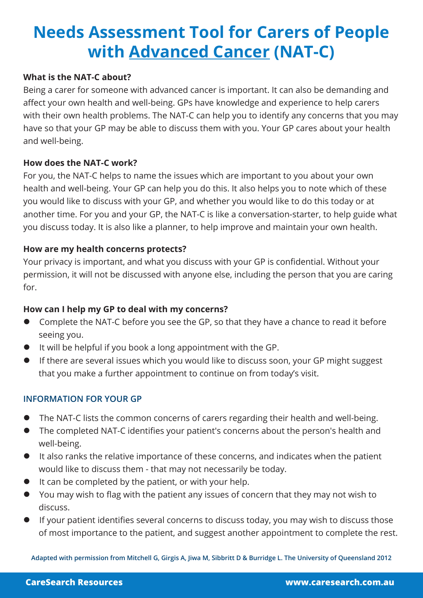# **Needs Assessment Tool for Carers of People with Advanced Cancer (NAT-C)**

#### **What is the NAT-C about?**

Being a carer for someone with advanced cancer is important. It can also be demanding and affect your own health and well-being. GPs have knowledge and experience to help carers with their own health problems. The NAT-C can help you to identify any concerns that you may have so that your GP may be able to discuss them with you. Your GP cares about your health and well-being.

### **How does the NAT-C work?**

For you, the NAT-C helps to name the issues which are important to you about your own health and well-being. Your GP can help you do this. It also helps you to note which of these you would like to discuss with your GP, and whether you would like to do this today or at another time. For you and your GP, the NAT-C is like a conversation-starter, to help guide what you discuss today. It is also like a planner, to help improve and maintain your own health.

### **How are my health concerns protects?**

Your privacy is important, and what you discuss with your GP is confidential. Without your permission, it will not be discussed with anyone else, including the person that you are caring for.

#### **How can I help my GP to deal with my concerns?**

- **•** Complete the NAT-C before you see the GP, so that they have a chance to read it before seeing you.
- $\bullet$  It will be helpful if you book a long appointment with the GP.
- If there are several issues which you would like to discuss soon, your GP might suggest that you make a further appointment to continue on from today's visit.

#### **INFORMATION FOR YOUR GP**

- The NAT-C lists the common concerns of carers regarding their health and well-being.
- The completed NAT-C identifies your patient's concerns about the person's health and well-being.
- It also ranks the relative importance of these concerns, and indicates when the patient would like to discuss them - that may not necessarily be today.
- $\bullet$  It can be completed by the patient, or with your help.
- l You may wish to flag with the patient any issues of concern that they may not wish to discuss.
- If your patient identifies several concerns to discuss today, you may wish to discuss those of most importance to the patient, and suggest another appointment to complete the rest.

**Adapted with permission from Mitchell G, Girgis A, Jiwa M, Sibbritt D & Burridge L. The University of Queensland 2012**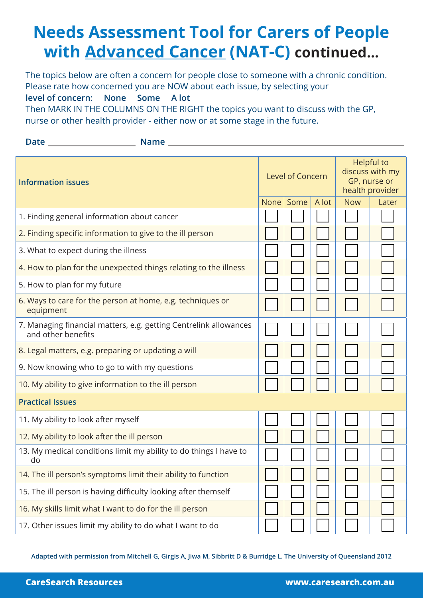# **Needs Assessment Tool for Carers of People with Advanced Cancer (NAT-C) continued...**

The topics below are often a concern for people close to someone with a chronic condition. Please rate how concerned you are NOW about each issue, by selecting your

**level of concern: None Some A lot** 

Then MARK IN THE COLUMNS ON THE RIGHT the topics you want to discuss with the GP, nurse or other health provider - either now or at some stage in the future.

| <b>Date</b> | <b>Name</b> |
|-------------|-------------|
|             |             |

| <b>Information issues</b>                                                               |             | Level of Concern |       |            | <b>Helpful to</b><br>discuss with my<br>GP, nurse or<br>health provider |  |
|-----------------------------------------------------------------------------------------|-------------|------------------|-------|------------|-------------------------------------------------------------------------|--|
|                                                                                         | <b>None</b> | Some             | A lot | <b>Now</b> | Later                                                                   |  |
| 1. Finding general information about cancer                                             |             |                  |       |            |                                                                         |  |
| 2. Finding specific information to give to the ill person                               |             |                  |       |            |                                                                         |  |
| 3. What to expect during the illness                                                    |             |                  |       |            |                                                                         |  |
| 4. How to plan for the unexpected things relating to the illness                        |             |                  |       |            |                                                                         |  |
| 5. How to plan for my future                                                            |             |                  |       |            |                                                                         |  |
| 6. Ways to care for the person at home, e.g. techniques or<br>equipment                 |             |                  |       |            |                                                                         |  |
| 7. Managing financial matters, e.g. getting Centrelink allowances<br>and other benefits |             |                  |       |            |                                                                         |  |
| 8. Legal matters, e.g. preparing or updating a will                                     |             |                  |       |            |                                                                         |  |
| 9. Now knowing who to go to with my questions                                           |             |                  |       |            |                                                                         |  |
| 10. My ability to give information to the ill person                                    |             |                  |       |            |                                                                         |  |
| <b>Practical Issues</b>                                                                 |             |                  |       |            |                                                                         |  |
| 11. My ability to look after myself                                                     |             |                  |       |            |                                                                         |  |
| 12. My ability to look after the ill person                                             |             |                  |       |            |                                                                         |  |
| 13. My medical conditions limit my ability to do things I have to<br>do                 |             |                  |       |            |                                                                         |  |
| 14. The ill person's symptoms limit their ability to function                           |             |                  |       |            |                                                                         |  |
| 15. The ill person is having difficulty looking after themself                          |             |                  |       |            |                                                                         |  |
| 16. My skills limit what I want to do for the ill person                                |             |                  |       |            |                                                                         |  |
| 17. Other issues limit my ability to do what I want to do                               |             |                  |       |            |                                                                         |  |

**Adapted with permission from Mitchell G, Girgis A, Jiwa M, Sibbritt D & Burridge L. The University of Queensland 2012**